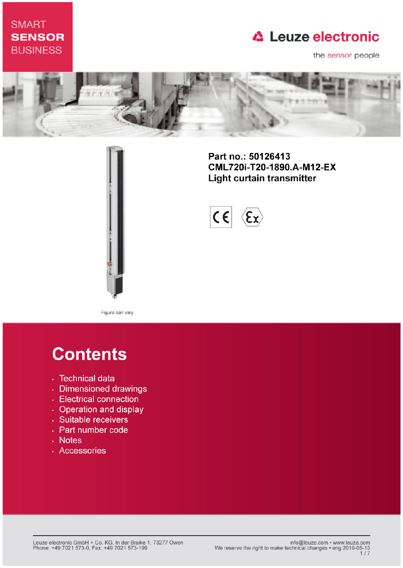## **SMART SENSOR BUSINESS**

# **△ Leuze electronic**

the sensor people



Part no.: 50126413 CML720i-T20-1890.A-M12-EX **Light curtain transmitter** 



Figure can vary

# **Contents**

- · Technical data
- · Dimensioned drawings
- Electrical connection
- Operation and display
- · Suitable receivers
- Part number code
- . Notes
- · Accessories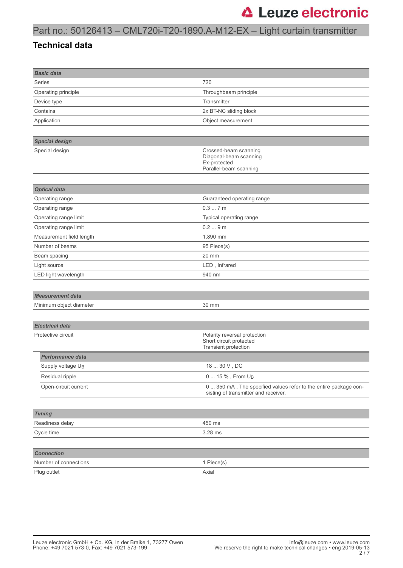## Part no.: 50126413 – CML720i-T20-1890.A-M12-EX – Light curtain transmitter

#### **Technical data**

| <b>Basic data</b>             |                                                                                                          |
|-------------------------------|----------------------------------------------------------------------------------------------------------|
| <b>Series</b>                 | 720                                                                                                      |
| Operating principle           | Throughbeam principle                                                                                    |
| Device type                   | Transmitter                                                                                              |
| Contains                      | 2x BT-NC sliding block                                                                                   |
| Application                   | Object measurement                                                                                       |
|                               |                                                                                                          |
| <b>Special design</b>         |                                                                                                          |
| Special design                | Crossed-beam scanning<br>Diagonal-beam scanning<br>Ex-protected<br>Parallel-beam scanning                |
|                               |                                                                                                          |
| <b>Optical data</b>           |                                                                                                          |
| Operating range               | Guaranteed operating range                                                                               |
| Operating range               | 0.37m                                                                                                    |
| Operating range limit         | Typical operating range                                                                                  |
| Operating range limit         | 0.29m                                                                                                    |
| Measurement field length      | 1,890 mm                                                                                                 |
| Number of beams               | 95 Piece(s)                                                                                              |
| Beam spacing                  | 20 mm                                                                                                    |
| Light source                  | LED, Infrared                                                                                            |
| LED light wavelength          | 940 nm                                                                                                   |
|                               |                                                                                                          |
| <b>Measurement data</b>       |                                                                                                          |
| Minimum object diameter       | 30 mm                                                                                                    |
|                               |                                                                                                          |
| <b>Electrical data</b>        |                                                                                                          |
| Protective circuit            | Polarity reversal protection<br>Short circuit protected<br>Transient protection                          |
| <b>Performance data</b>       |                                                                                                          |
| Supply voltage U <sub>B</sub> | 18  30 V, DC                                                                                             |
| Residual ripple               | 0  15 %, From U <sub>B</sub>                                                                             |
| Open-circuit current          | 0  350 mA, The specified values refer to the entire package con-<br>sisting of transmitter and receiver. |
|                               |                                                                                                          |
| <b>Timing</b>                 |                                                                                                          |
| Readiness delay               | 450 ms                                                                                                   |
| Cycle time                    | 3.28 ms                                                                                                  |
|                               |                                                                                                          |
| <b>Connection</b>             |                                                                                                          |
| Number of connections         | 1 Piece(s)                                                                                               |
| Plug outlet                   | Axial                                                                                                    |
|                               |                                                                                                          |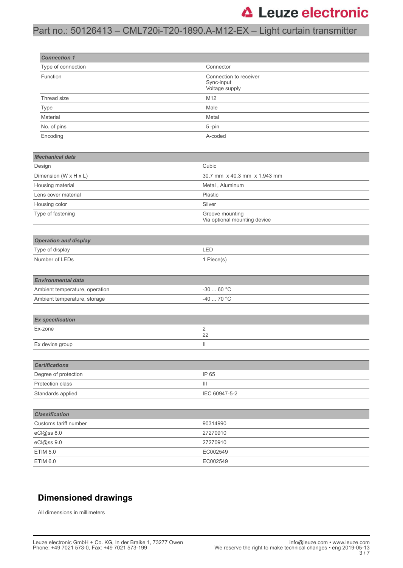### Part no.: 50126413 – CML720i-T20-1890.A-M12-EX – Light curtain transmitter

| <b>Connection 1</b>            |                                                        |
|--------------------------------|--------------------------------------------------------|
| Type of connection             | Connector                                              |
| Function                       | Connection to receiver<br>Sync-input<br>Voltage supply |
| Thread size                    | M12                                                    |
| Type                           | Male                                                   |
| Material                       | Metal                                                  |
| No. of pins                    | 5-pin                                                  |
| Encoding                       | A-coded                                                |
|                                |                                                        |
| <b>Mechanical data</b>         |                                                        |
| Design                         | Cubic                                                  |
| Dimension (W x H x L)          | 30.7 mm x 40.3 mm x 1,943 mm                           |
| Housing material               | Metal, Aluminum                                        |
| Lens cover material            | Plastic                                                |
| Housing color                  | Silver                                                 |
| Type of fastening              | Groove mounting<br>Via optional mounting device        |
|                                |                                                        |
| <b>Operation and display</b>   |                                                        |
| Type of display                | LED                                                    |
| Number of LEDs                 | 1 Piece(s)                                             |
|                                |                                                        |
| <b>Environmental data</b>      |                                                        |
| Ambient temperature, operation | $-3060 °C$                                             |
| Ambient temperature, storage   | -40  70 °C                                             |
|                                |                                                        |
| <b>Ex specification</b>        |                                                        |
| Ex-zone                        | 2                                                      |
|                                | 22                                                     |
| Ex device group                | $\mathop{\rm II}\nolimits$                             |
|                                |                                                        |
| <b>Certifications</b>          |                                                        |
| Degree of protection           | IP 65                                                  |
| Protection class               | $\begin{array}{c} \hline \end{array}$                  |
| Standards applied              | IEC 60947-5-2                                          |
| <b>Classification</b>          |                                                        |
| Customs tariff number          | 90314990                                               |
| eCl@ss 8.0                     | 27270910                                               |
| eCl@ss 9.0                     | 27270910                                               |
| <b>ETIM 5.0</b>                | EC002549                                               |
| ETIM 6.0                       | EC002549                                               |
|                                |                                                        |

#### **Dimensioned drawings**

All dimensions in millimeters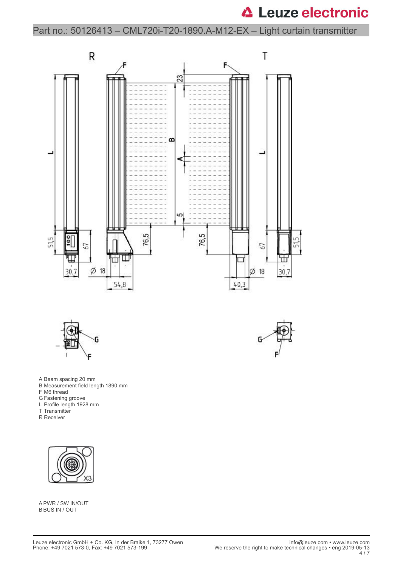Part no.: 50126413 – CML720i-T20-1890.A-M12-EX – Light curtain transmitter





G

- A Beam spacing 20 mm
- B Measurement field length 1890 mm
- F M6 thread
- G Fastening groove
- L Profile length 1928 mm
- T Transmitter
- R Receiver



A PWR / SW IN/OUT B BUS IN / OUT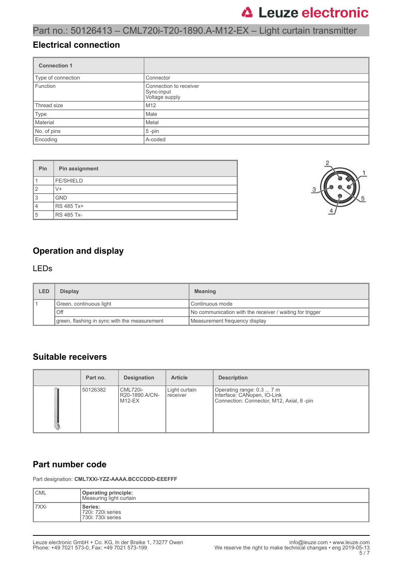Part no.: 50126413 – CML720i-T20-1890.A-M12-EX – Light curtain transmitter

#### **Electrical connection**

| <b>Connection 1</b> |                                                        |
|---------------------|--------------------------------------------------------|
| Type of connection  | Connector                                              |
| Function            | Connection to receiver<br>Sync-input<br>Voltage supply |
| Thread size         | M <sub>12</sub>                                        |
| Type                | Male                                                   |
| Material            | Metal                                                  |
| No. of pins         | 5-pin                                                  |
| Encoding            | A-coded                                                |

| Pin            | Pin assignment    |
|----------------|-------------------|
|                | <b>FE/SHIELD</b>  |
| $\overline{2}$ | V+                |
| 3              | <b>GND</b>        |
| 4              | RS 485 Tx+        |
| 5              | <b>RS 485 Tx-</b> |



### **Operation and display**

#### LEDs

| LED | <b>Display</b>                               | <b>Meaning</b>                                           |
|-----|----------------------------------------------|----------------------------------------------------------|
|     | Green, continuous light                      | Continuous mode                                          |
|     | . Off                                        | No communication with the receiver / waiting for trigger |
|     | green, flashing in sync with the measurement | Measurement frequency display                            |

#### **Suitable receivers**

| Part no. | <b>Designation</b>                          | <b>Article</b>              | <b>Description</b>                                                                                   |
|----------|---------------------------------------------|-----------------------------|------------------------------------------------------------------------------------------------------|
| 50126382 | <b>CML720i-</b><br>R20-1890.A/CN-<br>M12-EX | Light curtain<br>l receiver | Operating range: 0.3  7 m<br>Interface: CANopen, IO-Link<br>Connection: Connector, M12, Axial, 8-pin |

#### **Part number code**

Part designation: **CML7XXi-YZZ-AAAA.BCCCDDD-EEEFFF**

| <b>CML</b> | <b>Operating principle:</b><br>Measuring light curtain |
|------------|--------------------------------------------------------|
| l 7XXi     | Series:<br>720i: 720i series<br>730i: 730i series      |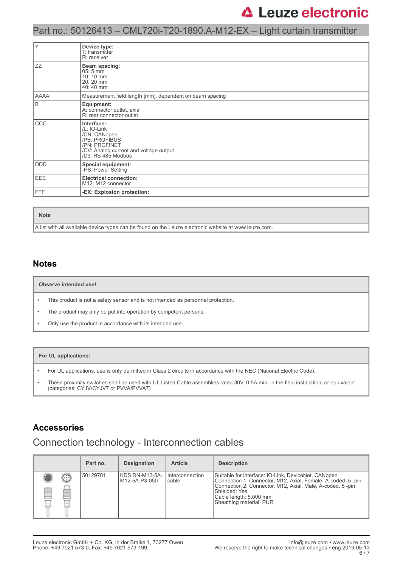### Part no.: 50126413 – CML720i-T20-1890.A-M12-EX – Light curtain transmitter

| Y          | Device type:<br>T: transmitter<br>R: receiver                                                                                               |
|------------|---------------------------------------------------------------------------------------------------------------------------------------------|
| ZZ         | Beam spacing:<br>$05:5 \,\mathrm{mm}$<br>10:10 mm<br>20:20 mm<br>40:40 mm                                                                   |
| AAAA       | Measurement field length [mm], dependent on beam spacing                                                                                    |
| B          | Equipment:<br>A: connector outlet, axial<br>R: rear connector outlet                                                                        |
| CCC        | Interface:<br>/L: IO-Link<br>/CN: CANopen<br>/PB: PROFIBUS<br>/PN: PROFINET<br>/CV: Analog current and voltage output<br>/D3: RS 485 Modbus |
| <b>DDD</b> | <b>Special equipment:</b><br>-PS: Power Setting                                                                                             |
| <b>EEE</b> | <b>Electrical connection:</b><br>M12: M12 connector                                                                                         |
| <b>FFF</b> | -EX: Explosion protection:                                                                                                                  |

#### **Note**

A list with all available device types can be found on the Leuze electronic website at www.leuze.com.

#### **Notes**

#### **Observe intended use!**

- This product is not a safety sensor and is not intended as personnel protection.
- The product may only be put into operation by competent persons.
- Only use the product in accordance with its intended use.

#### **For UL applications:**

- For UL applications, use is only permitted in Class 2 circuits in accordance with the NEC (National Electric Code).
- These proximity switches shall be used with UL Listed Cable assemblies rated 30V, 0.5A min, in the field installation, or equivalent (categories: CYJV/CYJV7 or PVVA/PVVA7)

#### **Accessories**

### Connection technology - Interconnection cables

|             | Part no. | <b>Designation</b>              | <b>Article</b>           | <b>Description</b>                                                                                                                                                                                                                                    |
|-------------|----------|---------------------------------|--------------------------|-------------------------------------------------------------------------------------------------------------------------------------------------------------------------------------------------------------------------------------------------------|
| Œ<br>Ē<br>œ | 50129781 | KDS DN-M12-5A-<br>M12-5A-P3-050 | Interconnection<br>cable | Suitable for interface: IO-Link, DeviceNet, CANopen<br>Connection 1: Connector, M12, Axial, Female, A-coded, 5-pin<br>Connection 2: Connector, M12, Axial, Male, A-coded, 5-pin<br>Shielded: Yes<br>Cable length: 5,000 mm<br>Sheathing material: PUR |